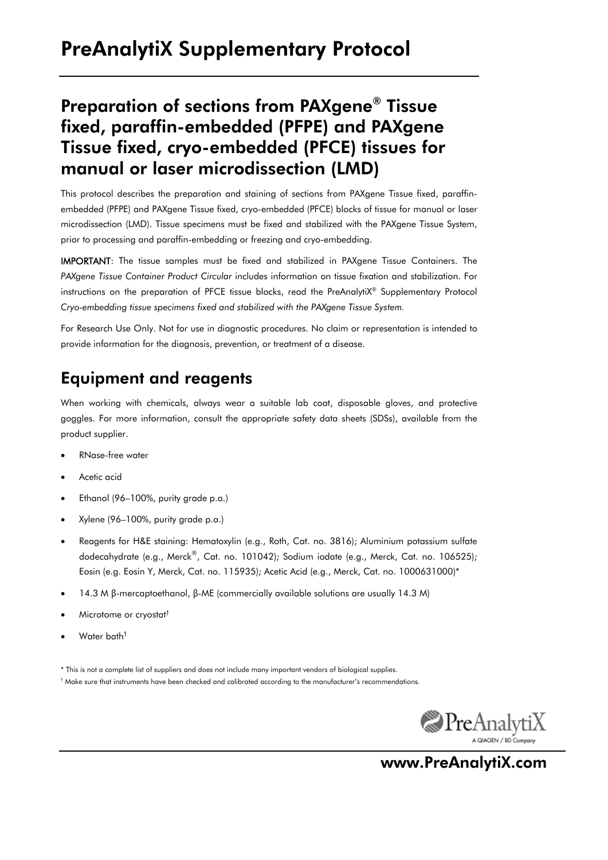# Preparation of sections from PAXgene® Tissue fixed, paraffin-embedded (PFPE) and PAXgene Tissue fixed, cryo-embedded (PFCE) tissues for manual or laser microdissection (LMD)

This protocol describes the preparation and staining of sections from PAXgene Tissue fixed, paraffinembedded (PFPE) and PAXgene Tissue fixed, cryo-embedded (PFCE) blocks of tissue for manual or laser microdissection (LMD). Tissue specimens must be fixed and stabilized with the PAXgene Tissue System, prior to processing and paraffin-embedding or freezing and cryo-embedding.

IMPORTANT: The tissue samples must be fixed and stabilized in PAXgene Tissue Containers. The *PAXgene Tissue Container Product Circular* includes information on tissue fixation and stabilization. For instructions on the preparation of PFCE tissue blocks, read the PreAnalytiX® Supplementary Protocol *Cryo-embedding tissue specimens fixed and stabilized with the PAXgene Tissue System.*

For Research Use Only. Not for use in diagnostic procedures. No claim or representation is intended to provide information for the diagnosis, prevention, or treatment of a disease.

## Equipment and reagents

When working with chemicals, always wear a suitable lab coat, disposable gloves, and protective goggles. For more information, consult the appropriate safety data sheets (SDSs), available from the product supplier.

- RNase-free water
- Acetic acid
- Ethanol (96–100%, purity grade p.a.)
- Xylene (96–100%, purity grade p.a.)
- Reagents for H&E staining: Hematoxylin (e.g., Roth, Cat. no. 3816); Aluminium potassium sulfate dodecahydrate (e.g., Merck®, Cat. no. 101042); Sodium iodate (e.g., Merck, Cat. no. 106525); Eosin (e.g. Eosin Y, Merck, Cat. no. 115935); Acetic Acid (e.g., Merck, Cat. no. 1000631000)\*
- 14.3 M β-mercaptoethanol, β-ME (commercially available solutions are usually 14.3 M)
- Microtome or cryostat†
- Water bath†

\* This is not a complete list of suppliers and does not include many important vendors of biological supplies.

 $^\dagger$  Make sure that instruments have been checked and calibrated according to the manufacturer's recommendations.



www.PreAnalytiX.com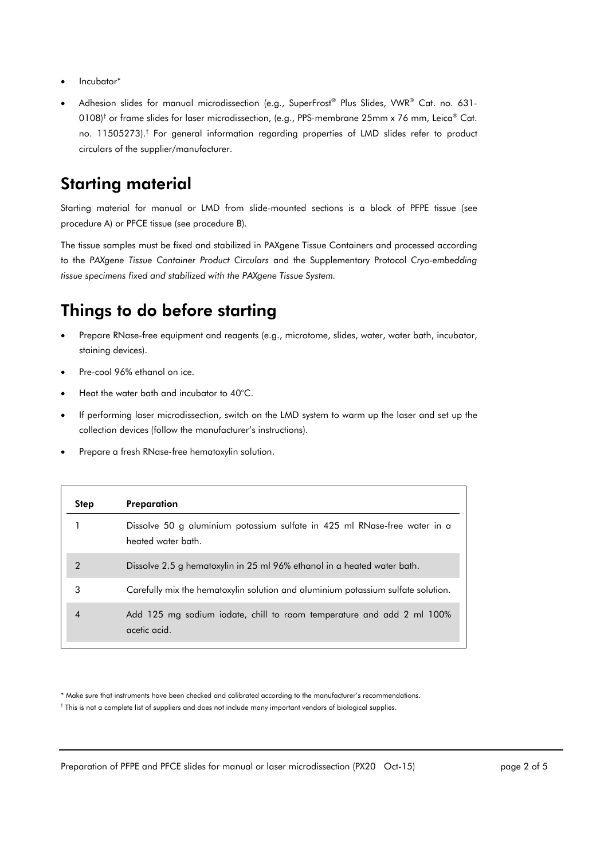- Incubator\*
- Adhesion slides for manual microdissection (e.g., SuperFrost® Plus Slides, VWR® Cat. no. 631-0108) $^{\dagger}$  or frame slides for laser microdissection, (e.g., PPS-membrane 25mm x 76 mm, Leica® Cat. no. 11505273).† For general information regarding properties of LMD slides refer to product circulars of the supplier/manufacturer.

### Starting material

Starting material for manual or LMD from slide-mounted sections is a block of PFPE tissue (see procedure A) or PFCE tissue (see procedure B).

The tissue samples must be fixed and stabilized in PAXgene Tissue Containers and processed according to the *PAXgene Tissue Container Product Circulars* and the Supplementary Protocol *Cryo-embedding tissue specimens fixed and stabilized with the PAXgene Tissue System.*

## Things to do before starting

- Prepare RNase-free equipment and reagents (e.g., microtome, slides, water, water bath, incubator, staining devices).
- Pre-cool 96% ethanol on ice.
- Heat the water bath and incubator to 40°C.
- If performing laser microdissection, switch on the LMD system to warm up the laser and set up the collection devices (follow the manufacturer's instructions).
- Prepare a fresh RNase-free hematoxylin solution.

| <b>Step</b> | Preparation                                                                                     |
|-------------|-------------------------------------------------------------------------------------------------|
|             | Dissolve 50 g aluminium potassium sulfate in 425 ml RNase-free water in a<br>heated water bath. |
| 2           | Dissolve 2.5 g hematoxylin in 25 ml 96% ethanol in a heated water bath.                         |
| 3           | Carefully mix the hematoxylin solution and aluminium potassium sulfate solution.                |
| 4           | Add 125 mg sodium iodate, chill to room temperature and add 2 ml 100%<br>acetic acid.           |

\* Make sure that instruments have been checked and calibrated according to the manufacturer's recommendations.

† This is not a complete list of suppliers and does not include many important vendors of biological supplies.

Preparation of PFPE and PFCE slides for manual or laser microdissection (PX20 Oct-15) page 2 of 5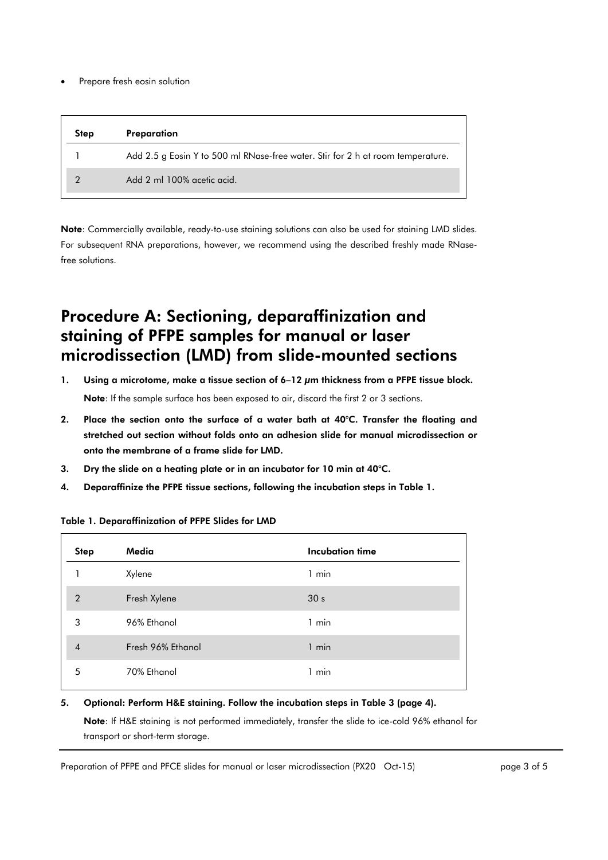Prepare fresh eosin solution

| <b>Step</b> | Preparation                                                                     |
|-------------|---------------------------------------------------------------------------------|
|             | Add 2.5 g Eosin Y to 500 ml RNase-free water. Stir for 2 h at room temperature. |
|             | Add 2 ml 100% acetic acid.                                                      |

Note: Commercially available, ready-to-use staining solutions can also be used for staining LMD slides. For subsequent RNA preparations, however, we recommend using the described freshly made RNasefree solutions.

## Procedure A: Sectioning, deparaffinization and staining of PFPE samples for manual or laser microdissection (LMD) from slide-mounted sections

- 1. Using a microtome, make a tissue section of 6–12 μm thickness from a PFPE tissue block. Note: If the sample surface has been exposed to air, discard the first 2 or 3 sections.
- 2. Place the section onto the surface of a water bath at 40°C. Transfer the floating and stretched out section without folds onto an adhesion slide for manual microdissection or onto the membrane of a frame slide for LMD.
- 3. Dry the slide on a heating plate or in an incubator for 10 min at 40°C.
- 4. Deparaffinize the PFPE tissue sections, following the incubation steps in Table 1.

| <b>Step</b>    | Media             | <b>Incubation time</b> |
|----------------|-------------------|------------------------|
|                | Xylene            | 1 min                  |
| $\overline{2}$ | Fresh Xylene      | 30 <sub>s</sub>        |
| 3              | 96% Ethanol       | 1 min                  |
| $\overline{4}$ | Fresh 96% Ethanol | 1 min                  |
| 5              | 70% Ethanol       | 1 min                  |

#### Table 1. Deparaffinization of PFPE Slides for LMD

### 5. Optional: Perform H&E staining. Follow the incubation steps in Table 3 (page 4).

Note: If H&E staining is not performed immediately, transfer the slide to ice-cold 96% ethanol for transport or short-term storage.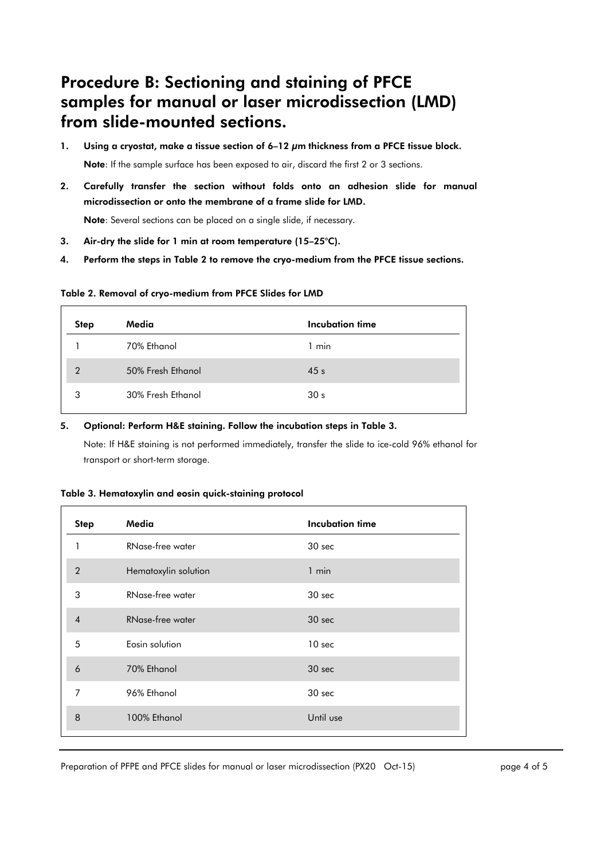### Procedure B: Sectioning and staining of PFCE samples for manual or laser microdissection (LMD) from slide-mounted sections.

- 1. Using a cryostat, make a tissue section of 6–12 μm thickness from a PFCE tissue block. Note: If the sample surface has been exposed to air, discard the first 2 or 3 sections.
- 2. Carefully transfer the section without folds onto an adhesion slide for manual microdissection or onto the membrane of a frame slide for LMD.

Note: Several sections can be placed on a single slide, if necessary.

- 3. Air-dry the slide for 1 min at room temperature (15–25°C).
- 4. Perform the steps in Table 2 to remove the cryo-medium from the PFCE tissue sections.

#### Table 2. Removal of cryo-medium from PFCE Slides for LMD

| <b>Step</b> | Media             | Incubation time |  |
|-------------|-------------------|-----------------|--|
|             | 70% Ethanol       | $1$ min         |  |
| 2           | 50% Fresh Ethanol | 45 <sub>s</sub> |  |
| 3           | 30% Fresh Ethanol | 30 <sub>s</sub> |  |

### 5. Optional: Perform H&E staining. Follow the incubation steps in Table 3.

Note: If H&E staining is not performed immediately, transfer the slide to ice-cold 96% ethanol for transport or short-term storage.

#### Table 3. Hematoxylin and eosin quick-staining protocol

| <b>Step</b>    | Media                | <b>Incubation time</b> |
|----------------|----------------------|------------------------|
| 1              | RNase-free water     | 30 sec                 |
| $\overline{2}$ | Hematoxylin solution | $1$ min                |
| 3              | RNase-free water     | 30 sec                 |
| $\overline{4}$ | RNase-free water     | 30 sec                 |
| 5              | Eosin solution       | 10 <sub>sec</sub>      |
| 6              | 70% Ethanol          | 30 sec                 |
| $\overline{7}$ | 96% Ethanol          | 30 sec                 |
| 8              | 100% Ethanol         | Until use              |
|                |                      |                        |